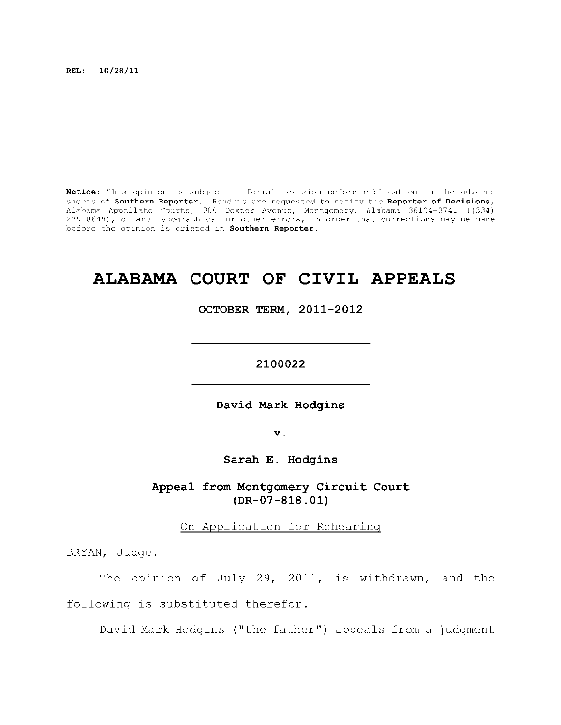**REL: 10/28/11** 

Notice: This opinion is subject to formal revision before publication in the advance sheets of **Southern Reporter**. Readers are requested to notify the Reporter of Decisions, Alabama Appellat e Courts , 300 Dexte r Avenue, Montgomery, Alabama 36104-3741 ((334) 229-0649), of any typographical or other errors, in order that corrections may be made before the opinion is printed in **Southern Reporter**.

# **ALABAMA COURT OF CIVIL APPEALS**

**OCTOBER TERM, 2011-2012** 

**2100022** 

**David Mark Hodgins** 

**v.** 

**Sarah E. Hodgins** 

Appeal from Montgomery Circuit Court **(DR-07-818.01)** 

On Application for Rehearing

BRYAN, Judge.

The opinion of July 29, 2011, is withdrawn, and the following is substituted therefor.

David Mark Hodgins ("the father") appeals from a judgment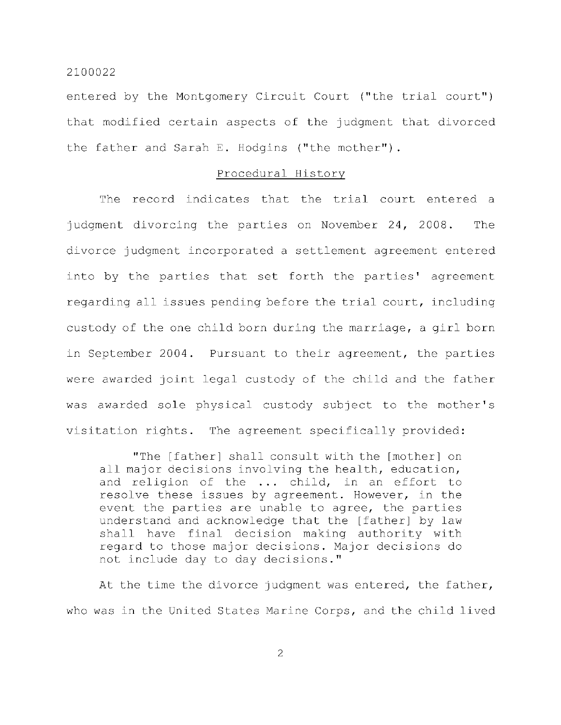entered by the Montgomery Circuit Court ("the trial court") that modified certain aspects of the judgment that divorced the father and Sarah E. Hodgins ("the mother").

# Procedural History

The record indicates that the trial court entered a judgment divorcing the parties on November  $24$ , 2008. The divorce judgment incorporated a settlement agreement entered into by the parties that set forth the parties' agreement regarding all issues pending before the trial court, including custody of the one child born during the marriage, a girl born in September 2004. Pursuant to their agreement, the parties were awarded joint legal custody of the child and the father was awarded sole physical custody subject to the mother's visitation rights. The agreement specifically provided:

"The [father] shall consult with the [mother] on all major decisions involving the health, education, and religion of the ... child, in an effort to resolve these issues by agreement. However, in the event the parties are unable to agree, the parties understand and acknowledge that the [father] by law shall have final decision making authority with regard to those major decisions. Major decisions do not include day to day decisions."

At the time the divorce judgment was entered, the father, who was in the United States Marine Corps, and the child lived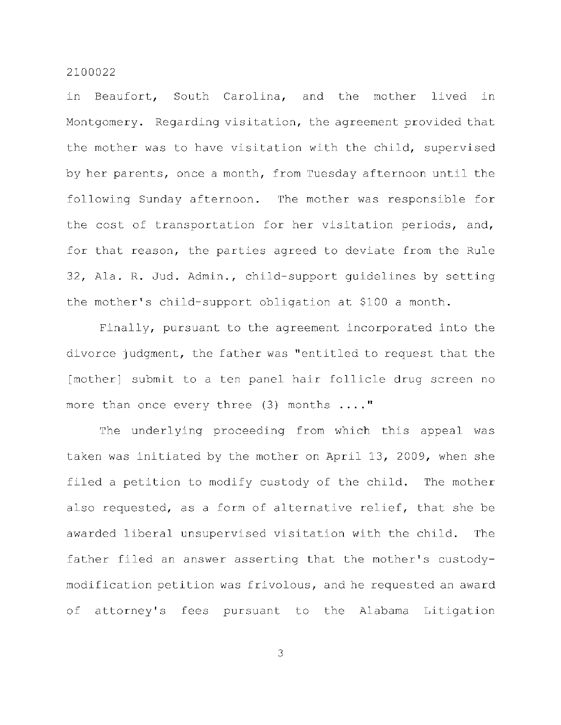in Beaufort, South Carolina, and the mother lived in Montgomery. Regarding visitation, the agreement provided that the mother was to have visitation with the child, supervised by her parents, once a month, from Tuesday afternoon until the following Sunday afternoon. The mother was responsible for the cost of transportation for her visitation periods, and, for that reason, the parties agreed to deviate from the Rule 32, Ala. R. Jud. Admin., child-support quidelines by setting the mother's child-support obligation at \$100 a month.

Finally, pursuant to the agreement incorporated into the divorce judgment, the father was "entitled to request that the [mother] submit to a ten panel hair follicle drug screen no more than once every three  $(3)$  months ...."

The underlying proceeding from which this appeal was taken was initiated by the mother on April 13, 2009, when she filed a petition to modify custody of the child. The mother also requested, as a form of alternative relief, that she be awarded liberal unsupervised visitation with the child. The father filed an answer asserting that the mother's custodymodification petition was frivolous, and he requested an award of attorney's fees pursuant to the Alabama Litigation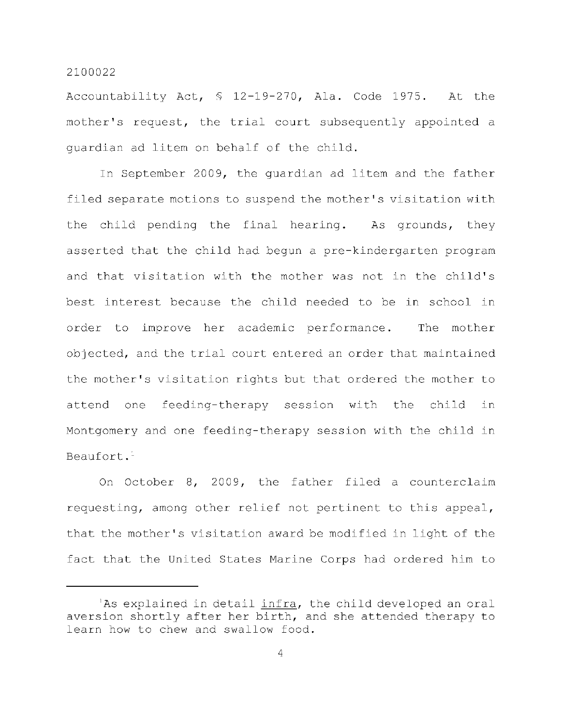Accountability Act,  $$ 12-19-270$ , Ala. Code 1975. At the mother's request, the trial court subsequently appointed a quardian ad litem on behalf of the child.

In September 2009, the quardian ad litem and the father filed separate motions to suspend the mother's visitation with the child pending the final hearing. As grounds, they asserted that the child had begun a pre-kindergarten program and that visitation with the mother was not in the child's best interest because the child needed to be in school in order to improve her academic performance. The mother objected, and the trial court entered an order that maintained the mother's visitation rights but that ordered the mother to attend one feeding-therapy session with the child in Montgomery and one feeding-therapy session with the child in Beaufort.<sup>1</sup>

On October 8, 2009, the father filed a counterclaim requesting, among other relief not pertinent to this appeal, that the mother's visitation award be modified in light of the fact that the United States Marine Corps had ordered him to

<sup>&#</sup>x27;As explained in detail infra, the child developed an oral aversion shortly after her birth, and she attended therapy to learn how to chew and swallow food.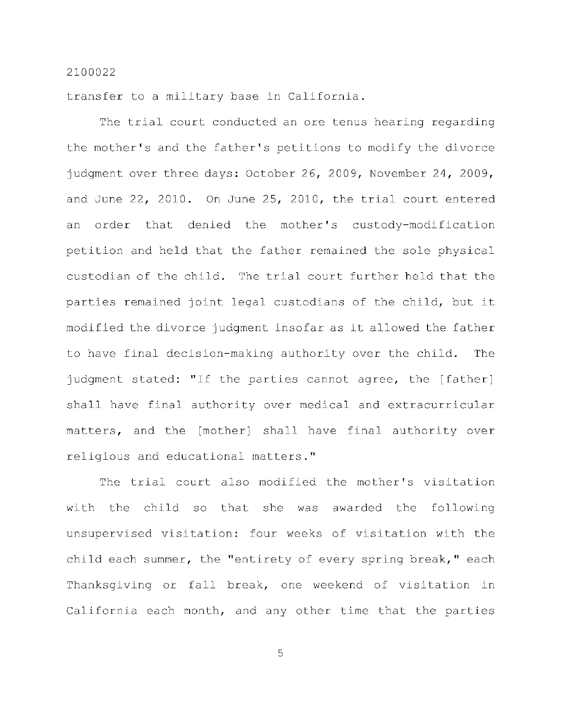transfer to a military base in California.

The trial court conducted an ore tenus hearing regarding the mother's and the father's petitions to modify the divorce judgment over three days: October 26, 2009, November 24, 2009, and June  $22$ ,  $2010$ . On June  $25$ ,  $2010$ , the trial court entered an order that denied the mother's custody-modification petition and held that the father remained the sole physical custodian of the child. The trial court further held that the parties remained joint legal custodians of the child, but it modified the divorce judgment insofar as it allowed the father to have final decision-making authority over the child. The judgment stated: "If the parties cannot agree, the [father] shall have final authority over medical and extracurricular matters, and the [mother] shall have final authority over religious and educational matters."

The trial court also modified the mother's visitation with the child so that she was awarded the following unsupervised visitation: four weeks of visitation with the child each summer, the "entirety of every spring break," each Thanksgiving or fall break, one weekend of visitation in California each month, and any other time that the parties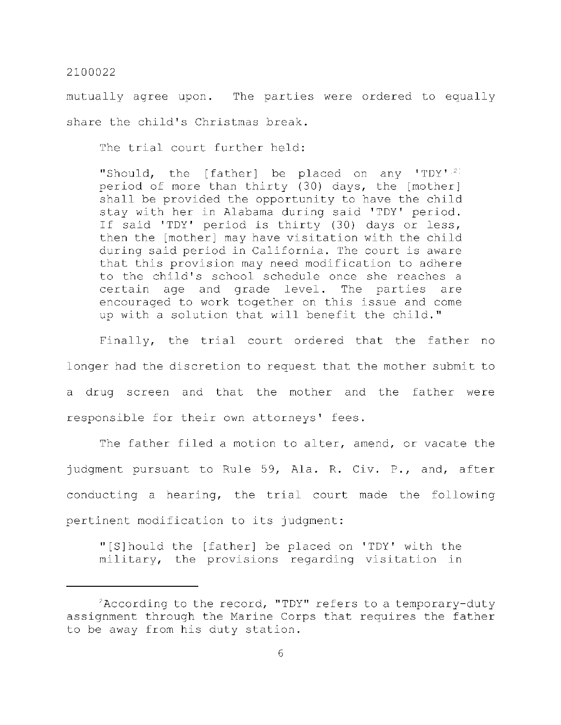mutually agree upon. The parties were ordered to equally share the child's Christmas break.

The trial court further held:

"Should, the [father] be placed on any 'TDY'<sup>21</sup> period of more than thirty (30) days, the [mother] shall be provided the opportunity to have the child stay with her in Alabama during said 'TDY' period. If said 'TDY' period is thirty (30) days or less, then the [mother] may have visitation with the child during said period in California. The court is aware that this provision may need modification to adhere to the child's school schedule once she reaches a certain age and grade level. The parties are encouraged to work together on this issue and come up with a solution that will benefit the child."

Finally, the trial court ordered that the father no longer had the discretion to request that the mother submit to a drug screen and that the mother and the father were responsible for their own attorneys' fees.

The father filed a motion to alter, amend, or vacate the judgment pursuant to Rule 59, Ala. R. Civ. P., and, after conducting a hearing, the trial court made the following pertinent modification to its judgment:

"[S]hould the [father] be placed on 'TDY' with the military, the provisions regarding visitation in

 ${}^2$ According to the record, "TDY" refers to a temporary-duty assignment through the Marine Corps that requires the father to be away from his duty station.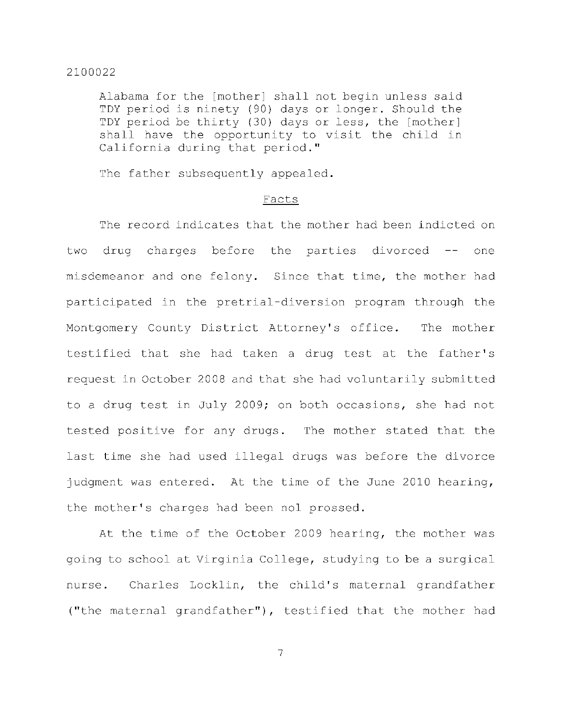Alabama for the [mother] shall not begin unless said TDY period is ninety (90) days or longer. Should the TDY period be thirty (30) days or less, the [mother] shall have the opportunity to visit the child in California during that period."

The father subsequently appealed.

#### Facts

The record indicates that the mother had been indicted on two drug charges before the parties divorced -- one misdemeanor and one felony. Since that time, the mother had participated in the pretrial-diversion program through the Montgomery County District Attorney's office. The mother testified that she had taken a drug test at the father's request in October 2008 and that she had voluntarily submitted to a drug test in July 2009; on both occasions, she had not tested positive for any drugs. The mother stated that the last time she had used illegal drugs was before the divorce judgment was entered. At the time of the June 2010 hearing, the mother's charges had been nol prossed.

At the time of the October 2009 hearing, the mother was going to school at Virginia College, studying to be a surgical nurse. Charles Locklin, the child's maternal grandfather ("the maternal grandfather"), testified that the mother had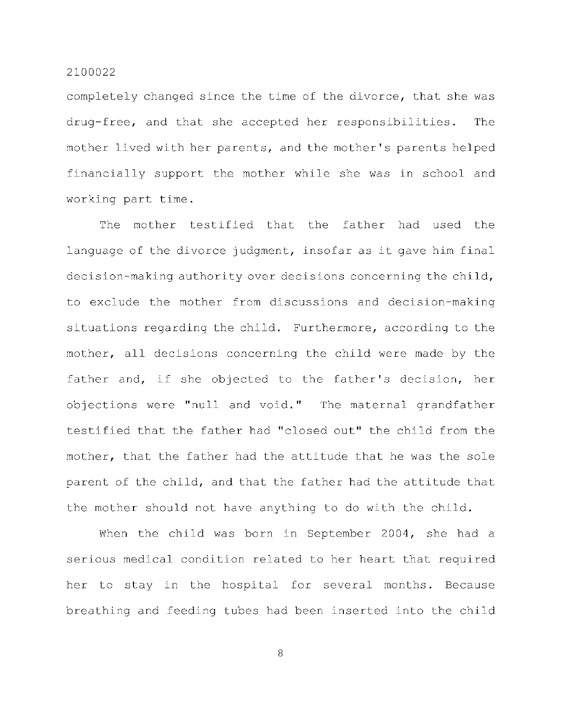completely changed since the time of the divorce, that she was drug-free, and that she accepted her responsibilities. The mother lived with her parents, and the mother's parents helped financially support the mother while she was in school and working part time.

The mother testified that the father had used the language of the divorce judgment, insofar as it gave him final decision-making authority over decisions concerning the child, to exclude the mother from discussions and decision-making situations regarding the child. Furthermore, according to the mother, all decisions concerning the child were made by the father and, if she objected to the father's decision, her objections were "null and void." The maternal grandfather testified that the father had "closed out" the child from the mother, that the father had the attitude that he was the sole parent of the child, and that the father had the attitude that the mother should not have anything to do with the child.

When the child was born in September 2004, she had a serious medical condition related to her heart that required her to stay in the hospital for several months. Because breathing and feeding tubes had been inserted into the child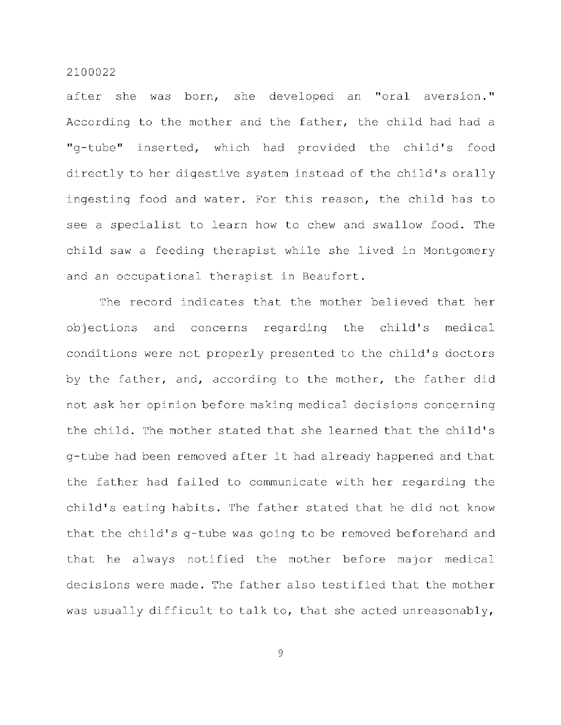after she was born, she developed an "oral aversion." According to the mother and the father, the child had had a "g-tube" inserted, which had provided the child's food directly to her digestive system instead of the child's orally ingesting food and water. For this reason, the child has to see a specialist to learn how to chew and swallow food. The child saw a feeding therapist while she lived in Montgomery and an occupational therapist in Beaufort.

The record indicates that the mother believed that her objections and concerns regarding the child's medical conditions were not properly presented to the child's doctors by the father, and, according to the mother, the father did not ask her opinion before making medical decisions concerning the child. The mother stated that she learned that the child's g-tube had been removed after it had already happened and that the father had failed to communicate with her regarding the child's eating habits. The father stated that he did not know that the child's g-tube was going to be removed beforehand and that he always notified the mother before major medical decisions were made. The father also testified that the mother was usually difficult to talk to, that she acted unreasonably,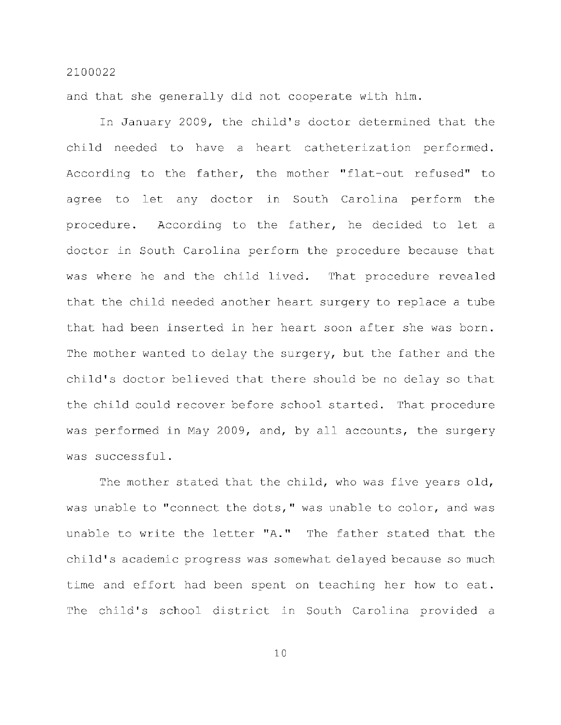and that she generally did not cooperate with him.

In January 2009, the child's doctor determined that the child needed to have a heart catheterization performed. According to the father, the mother "flat-out refused" to agree to let any doctor in South Carolina perform the procedure. According to the father, he decided to let a doctor in South Carolina perform the procedure because that was where he and the child lived. That procedure revealed that the child needed another heart surgery to replace a tube that had been inserted in her heart soon after she was born. The mother wanted to delay the surgery, but the father and the child's doctor believed that there should be no delay so that the child could recover before school started. That procedure was performed in May 2009, and, by all accounts, the surgery was successful .

The mother stated that the child, who was five years old, was unable to "connect the dots," was unable to color, and was unable to write the letter "A." The father stated that the child's academic progress was somewhat delayed because so much time and effort had been spent on teaching her how to eat. The child's school district in South Carolina provided a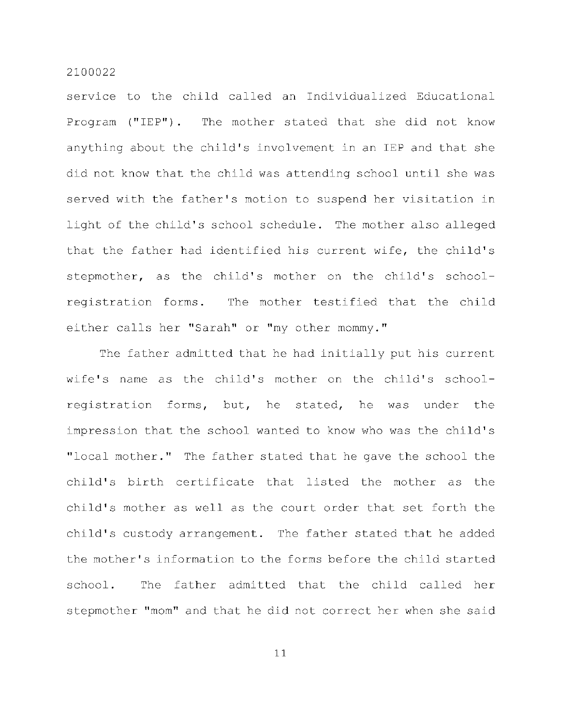service to the child called an Individualized Educational Program ("IEP"). The mother stated that she did not know anything about the child's involvement in an IEP and that she did not know that the child was attending school until she was served with the father's motion to suspend her visitation in light of the child's school schedule. The mother also alleged that the father had identified his current wife, the child's stepmother, as the child's mother on the child's schoolregistration forms. The mother testified that the child either calls her "Sarah" or "my other mommy."

The father admitted that he had initially put his current wife's name as the child's mother on the child's schoolregistration forms, but, he stated, he was under the impression that the school wanted to know who was the child's "local mother." The father stated that he gave the school the child's birth certificate that listed the mother as the child's mother as well as the court order that set forth the child's custody arrangement. The father stated that he added the mother's information to the forms before the child started school. The father admitted that the child called her stepmother "mom" and that he did not correct her when she said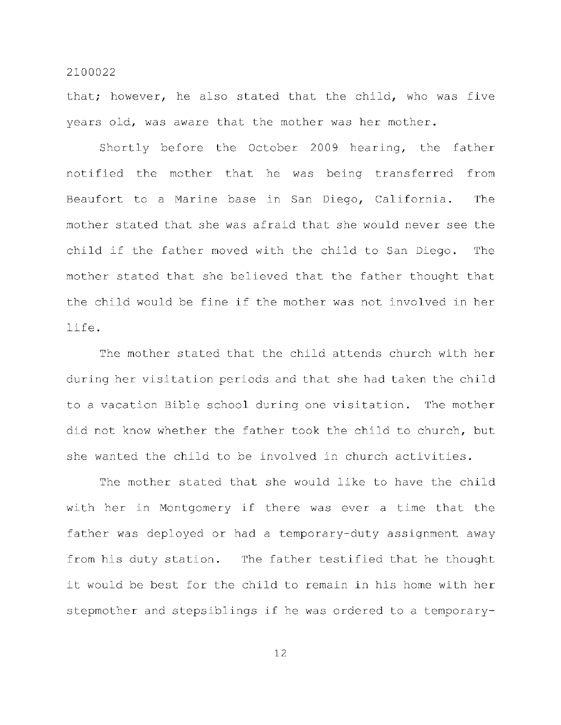that; however, he also stated that the child, who was five years old, was aware that the mother was her mother.

Shortly before the October 2009 hearing, the father notified the mother that he was being transferred from Beaufort to a Marine base in San Diego, California. The mother stated that she was afraid that she would never see the child if the father moved with the child to San Diego. The mother stated that she believed that the father thought that the child would be fine if the mother was not involved in her life .

The mother stated that the child attends church with her during her visitation periods and that she had taken the child to a vacation Bible school during one visitation. The mother did not know whether the father took the child to church, but she wanted the child to be involved in church activities.

The mother stated that she would like to have the child with her in Montgomery if there was ever a time that the father was deployed or had a temporary-duty assignment away from his duty station. The father testified that he thought it would be best for the child to remain in his home with her stepmother and stepsiblings if he was ordered to a temporary-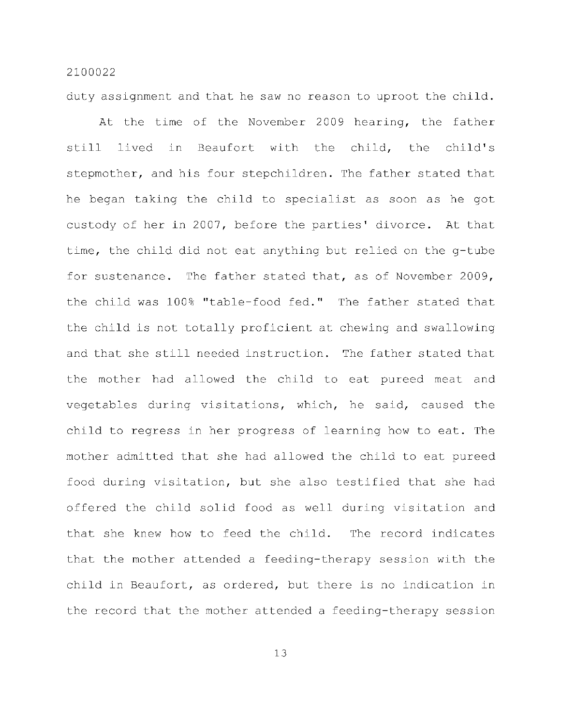duty assignment and that he saw no reason to uproot the child.

At the time of the November 2009 hearing, the father still lived in Beaufort with the child, the child's stepmother, and his four stepchildren. The father stated that he began taking the child to specialist as soon as he got custody of her in 2007, before the parties' divorce. At that time, the child did not eat anything but relied on the g-tube for sustenance. The father stated that, as of November 2009, the child was 100% "table-food fed." The father stated that the child is not totally proficient at chewing and swallowing and that she still needed instruction. The father stated that the mother had allowed the child to eat pureed meat and vegetables during visitations, which, he said, caused the child to regress in her progress of learning how to eat. The mother admitted that she had allowed the child to eat pureed food during visitation, but she also testified that she had offered the child solid food as well during visitation and that she knew how to feed the child. The record indicates that the mother attended a feeding-therapy session with the child in Beaufort, as ordered, but there is no indication in the record that the mother attended a feeding-therapy session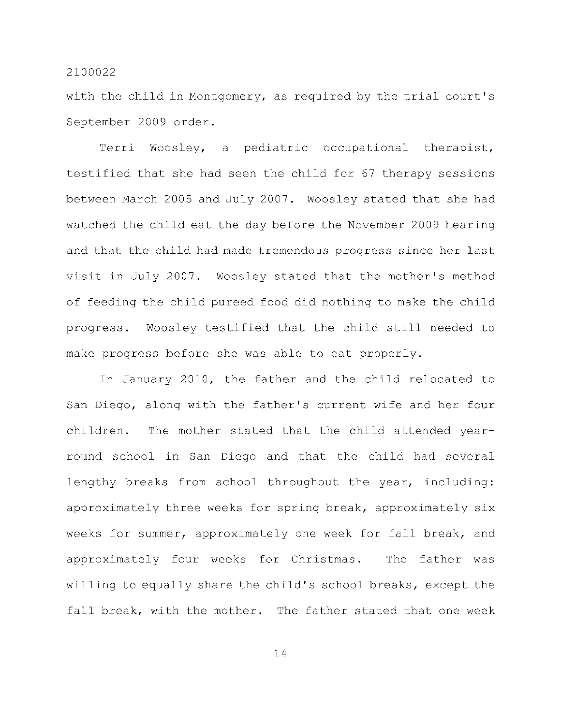with the child in Montgomery, as required by the trial court's September 2009 order .

Terri Woosley, a pediatric occupational therapist, testified that she had seen the child for 67 therapy sessions between March 2005 and July 2007. Woosley stated that she had watched the child eat the day before the November 2009 hearing and that the child had made tremendous progress since her last visit in July 2007. Woosley stated that the mother's method of feeding the child pureed food did nothing to make the child progress. Woosley testified that the child still needed to make progress before she was able to eat properly.

In January 2010, the father and the child relocated to San Diego, along with the father's current wife and her four children. The mother stated that the child attended yearround school in San Diego and that the child had several lengthy breaks from school throughout the year, including: approximately three weeks for spring break, approximately six weeks for summer, approximately one week for fall break, and approximately four weeks for Christmas. The father was willing to equally share the child's school breaks, except the fall break, with the mother. The father stated that one week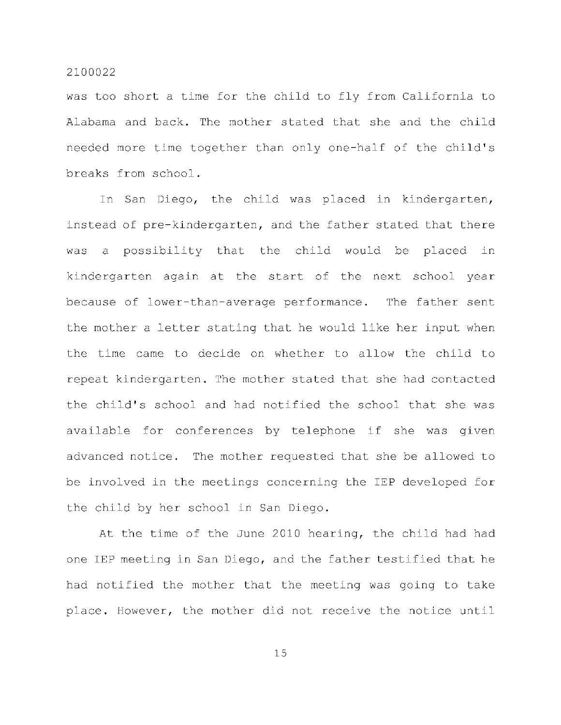was too short a time for the child to fly from California to Alabama and back. The mother stated that she and the child needed more time together than only one-half of the child's breaks from school.

In San Diego, the child was placed in kindergarten, instead of pre-kindergarten, and the father stated that there was a possibility that the child would be placed in kindergarten again at the start of the next school year because of lower-than-average performance. The father sent the mother a letter stating that he would like her input when the time came to decide on whether to allow the child to repeat kindergarten. The mother stated that she had contacted the child's school and had notified the school that she was available for conferences by telephone if she was given advanced notice. The mother requested that she be allowed to be involved in the meetings concerning the IEP developed for the child by her school in San Diego.

At the time of the June 2010 hearing, the child had had one IEP meeting in San Diego, and the father testified that he had notified the mother that the meeting was going to take place. However, the mother did not receive the notice until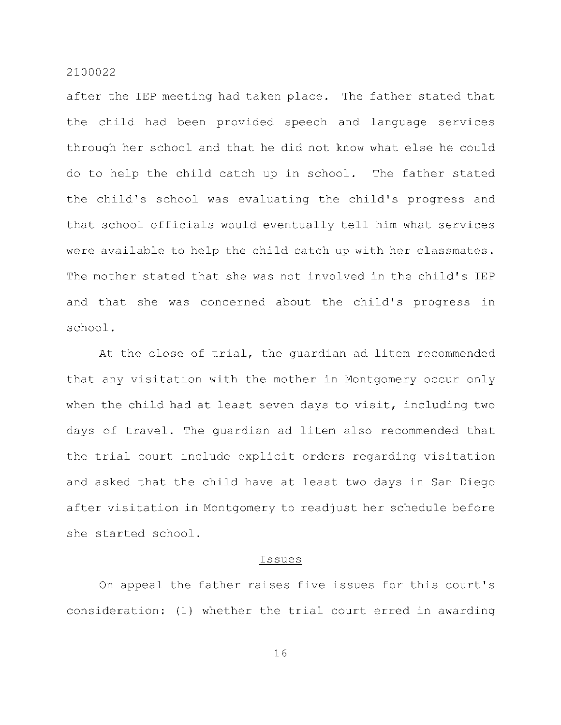after the IEP meeting had taken place. The father stated that the child had been provided speech and language services through her school and that he did not know what else he could do to help the child catch up in school. The father stated the child's school was evaluating the child's progress and that school officials would eventually tell him what services were available to help the child catch up with her classmates. The mother stated that she was not involved in the child's IEP and that she was concerned about the child's progress in school .

At the close of trial, the quardian ad litem recommended that any visitation with the mother in Montgomery occur only when the child had at least seven days to visit, including two days of travel. The quardian ad litem also recommended that the trial court include explicit orders regarding visitation and asked that the child have at least two days in San Diego after visitation in Montgomery to readjust her schedule before she started school.

#### **Issues**

On appeal the father raises five issues for this court's consideration: (1) whether the trial court erred in awarding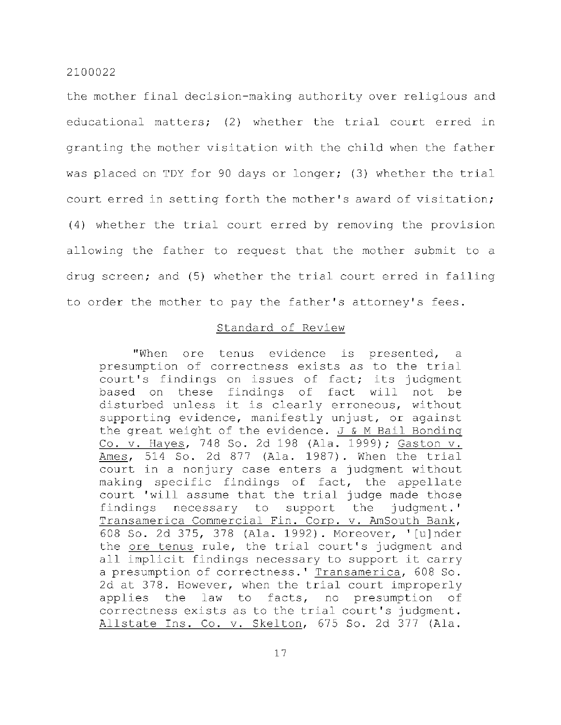the mother final decision-making authority over religious and educational matters; (2) whether the trial court erred in granting the mother visitation with the child when the father was placed on TDY for 90 days or longer; (3) whether the trial court erred in setting forth the mother's award of visitation;  $(4)$  whether the trial court erred by removing the provision allowing the father to request that the mother submit to a drug screen; and (5) whether the trial court erred in failing to order the mother to pay the father's attorney's fees.

# Standard of Review

"When ore tenus evidence is presented, a presumption of correctness exists as to the trial court's findings on issues of fact; its judgment based on these findings of fact will not be disturbed unless it is clearly erroneous, without supporting evidence, manifestly unjust, or against the great weight of the evidence.  $J & M$  Bail Bonding Co. v. Hayes, 748 So. 2d 198 (Ala. 1999); Gaston v. Ames,  $514$  So. 2d  $877$  (Ala. 1987). When the trial court in a nonjury case enters a judgment without making specific findings of fact, the appellate court 'will assume that the trial judge made those findings necessary to support the judgment.' Transamerica Commercial Fin. Corp. v. AmSouth Bank, 608 So. 2d 375, 378 (Ala. 1992). Moreover, '[u]nder the ore tenus rule, the trial court's judgment and all implicit findings necessary to support it carry a presumption of correctness. ' Transamerica, 608 So. 2d at 378. However, when the trial court improperly applies the law to facts, no presumption of correctness exists as to the trial court's judgment. Allstate Ins. Co. v. Skelton, 675 So. 2d 377 (Ala.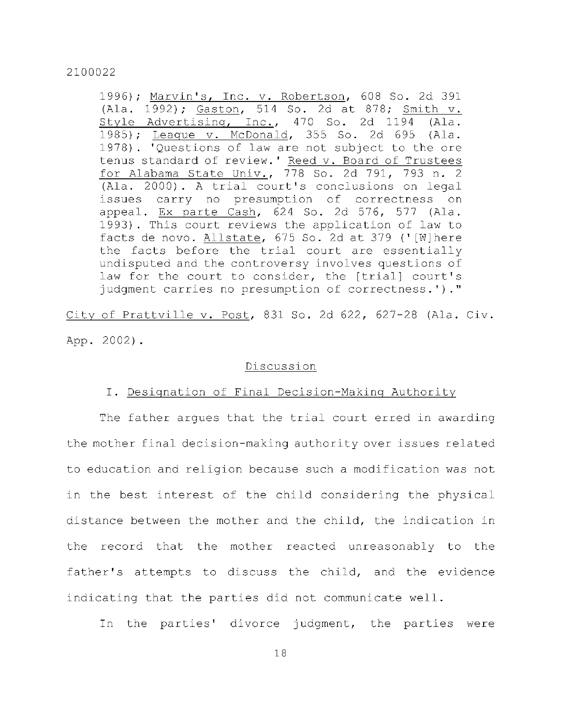1996); Marvin's, Inc. v. Robertson, 608 So. 2d 391 (Ala. 1992); Gaston, 514 So. 2d at 878; Smith v. Style Advertising, Inc., 470 So. 2d 1194 (Ala. 1985); League v. McDonald, 355 So. 2d 695 (Ala. 1978). 'Questions of law are not subject to the ore tenus standard of review.' Reed v. Board of Trustees for Alabama State Univ., 778 So. 2d 791, 793 n. 2 (Ala. 2000). A trial court's conclusions on legal issues carry no presumption of correctness on appeal.  $Ex$  parte Cash, 624 So. 2d 576, 577 (Ala. 1993). This court reviews the application of law to facts de novo. Allstate, 675 So. 2d at 379 ('[W]here the facts before the trial court are essentially undisputed and the controversy involves questions of law for the court to consider, the [trial] court's judgment carries no presumption of correctness.')."

City of Prattville v. Post, 831 So. 2d 622, 627-28 (Ala. Civ. App. 2002).

# Discussion

## I. Designation of Final Decision-Making Authority

The father argues that the trial court erred in awarding the mother final decision-making authority over issues related to education and religion because such a modification was not in the best interest of the child considering the physical distance between the mother and the child, the indication in the record that the mother reacted unreasonably to the father's attempts to discuss the child, and the evidence indicating that the parties did not communicate well.

In the parties' divorce judgment, the parties were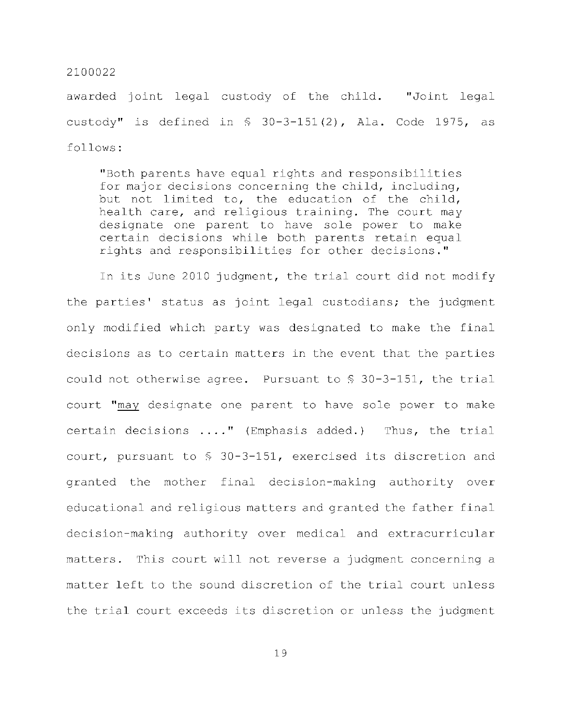awarded joint legal custody of the child. "Joint legal custody" is defined in  $\frac{1}{2}$  30-3-151(2), Ala. Code 1975, as follows :

"Both parents have equal rights and responsibilities for major decisions concerning the child, including, but not limited to, the education of the child, health care, and religious training. The court may designate one parent to have sole power to make certain decisions while both parents retain equal rights and responsibilities for other decisions."

In its June 2010 judgment, the trial court did not modify the parties' status as joint legal custodians; the judgment only modified which party was designated to make the final decisions as to certain matters in the event that the parties could not otherwise agree. Pursuant to  $$30-3-151$ , the trial court "may designate one parent to have sole power to make certain decisions ...." (Emphasis added.) Thus, the trial court, pursuant to  $$30-3-151$ , exercised its discretion and granted the mother final decision-making authority over educational and religious matters and granted the father final decision-making authority over medical and extracurricular matters. This court will not reverse a judgment concerning a matter left to the sound discretion of the trial court unless the trial court exceeds its discretion or unless the judgment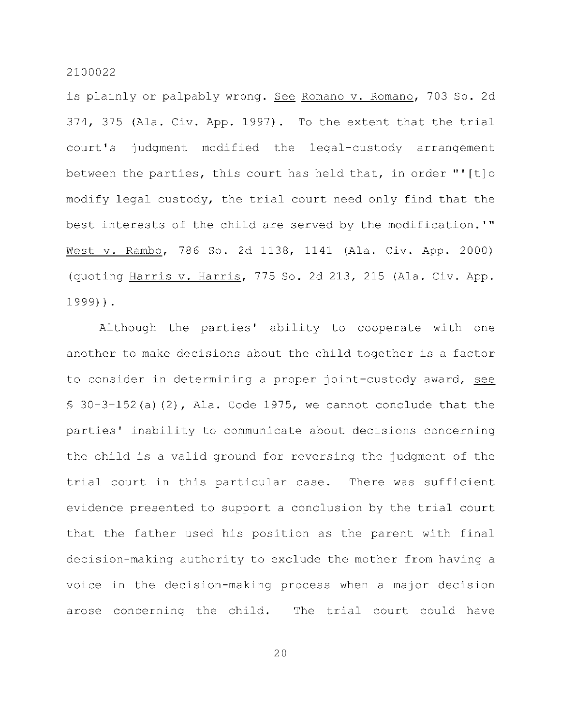is plainly or palpably wrong. See Romano v. Romano, 703 So. 2d  $374$ ,  $375$  (Ala. Civ. App. 1997). To the extent that the trial court's judgment modified the legal-custody arrangement between the parties, this court has held that, in order "'[t]o modify legal custody, the trial court need only find that the best interests of the child are served by the modification.'" West v. Rambo, 786 So. 2d 1138, 1141 (Ala. Civ. App. 2000) (quoting Harris v. Harris, 775 So. 2d 213, 215 (Ala. Civ. App. 1999)) .

Although the parties' ability to cooperate with one another to make decisions about the child together is a factor to consider in determining a proper joint-custody award, see  $\frac{1}{2}$  30-3-152(a)(2), Ala. Code 1975, we cannot conclude that the parties' inability to communicate about decisions concerning the child is a valid ground for reversing the judgment of the trial court in this particular case. There was sufficient evidence presented to support a conclusion by the trial court that the father used his position as the parent with final decision-making authority to exclude the mother from having a voice in the decision-making process when a major decision arose concerning the child. The trial court could have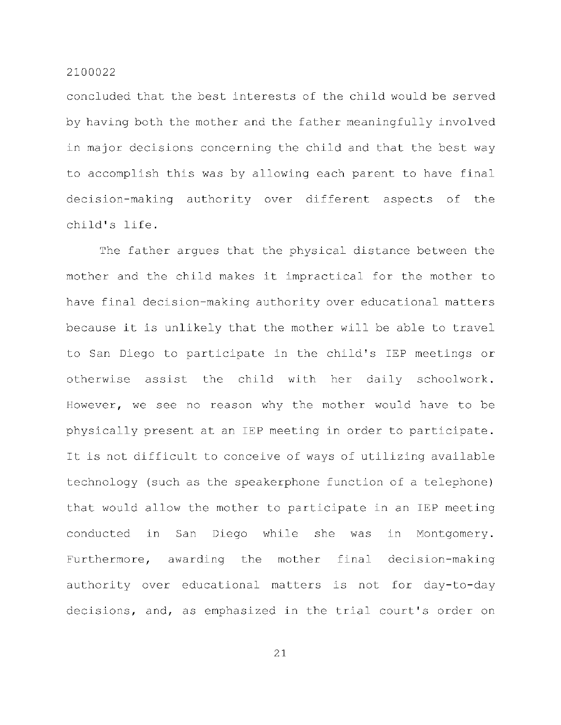concluded that the best interests of the child would be served by having both the mother and the father meaningfully involved in major decisions concerning the child and that the best way to accomplish this was by allowing each parent to have final decision-making authority over different aspects of the child's life.

The father argues that the physical distance between the mother and the child makes it impractical for the mother to have final decision-making authority over educational matters because it is unlikely that the mother will be able to travel to San Diego to participate in the child's IEP meetings or otherwise assist the child with her daily schoolwork. However, we see no reason why the mother would have to be physically present at an IEP meeting in order to participate. It is not difficult to conceive of ways of utilizing available technology (such as the speakerphone function of a telephone) that would allow the mother to participate in an IEP meeting conducted in San Diego while she was in Montgomery. Furthermore, awarding the mother final decision-making authority over educational matters is not for day-to-day decisions, and, as emphasized in the trial court's order on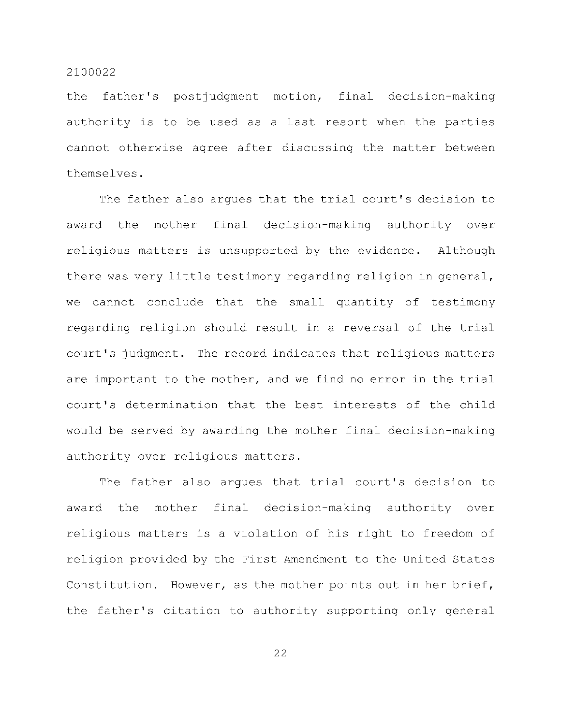the father's postjudgment motion, final decision-making authority is to be used as a last resort when the parties cannot otherwise agree after discussing the matter between themselves .

The father also argues that the trial court's decision to award the mother final decision-making authority over religious matters is unsupported by the evidence. Although there was very little testimony regarding religion in general, we cannot conclude that the small quantity of testimony regarding religion should result in a reversal of the trial court's judgment. The record indicates that religious matters are important to the mother, and we find no error in the trial court's determination that the best interests of the child would be served by awarding the mother final decision-making authority over religious matters.

The father also argues that trial court's decision to award the mother final decision-making authority over religious matters is a violation of his right to freedom of religion provided by the First Amendment to the United States Constitution. However, as the mother points out in her brief, the father's citation to authority supporting only general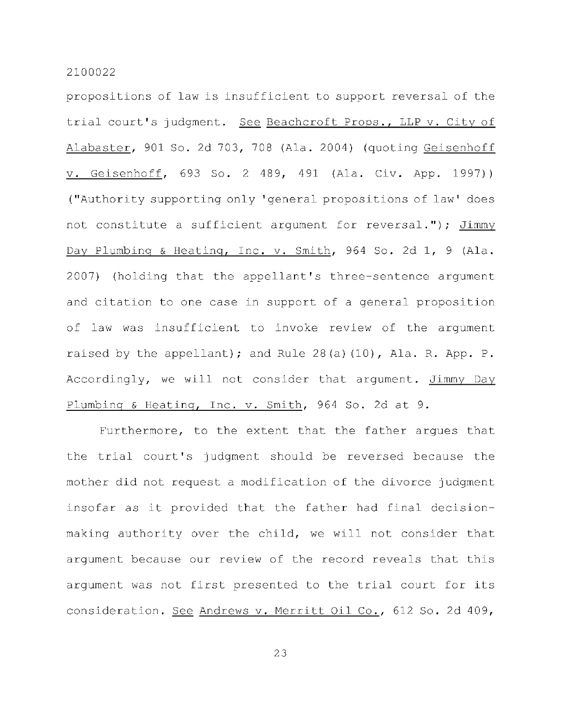propositions of law is insufficient to support reversal of the trial court's judgment. See Beachcroft Props., LLP v. City of Alabaster, 901 So. 2d 703, 708 (Ala. 2004) (quoting Geisenhoff v. Geisenhoff, 693 So. 2 489, 491 (Ala. Civ. App. 1997)) ("Authority supporting only 'general propositions of law' does not constitute a sufficient argument for reversal."); Jimmy Day Plumbing & Heating, Inc. v. Smith, 964 So. 2d 1, 9 (Ala. 2007) (holding that the appellant's three-sentence argument and citation to one case in support of a general proposition of law was insufficient to invoke review of the argument raised by the appellant); and Rule  $28(a)(10)$ , Ala. R. App. P. Accordingly, we will not consider that argument. Jimmy Day Plumbing & Heating, Inc. v. Smith, 964 So. 2d at 9.

Furthermore, to the extent that the father argues that the trial court's judgment should be reversed because the mother did not request a modification of the divorce judgment insofar as it provided that the father had final decisionmaking authority over the child, we will not consider that argument because our review of the record reveals that this argument was not first presented to the trial court for its consideration. See Andrews v. Merritt Oil Co., 612 So. 2d 409,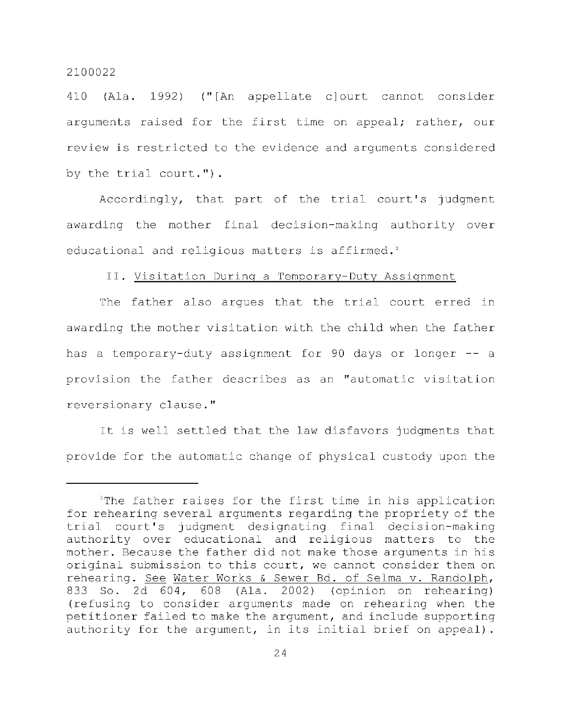410 (Ala. 1992) ("[An appellate c]ourt cannot consider arguments raised for the first time on appeal; rather, our review is restricted to the evidence and arguments considered by the trial court.").

Accordingly, that part of the trial court's judgment awarding the mother final decision-making authority over educational and religious matters is affirmed.<sup>3</sup>

#### II. Visitation During a Temporary-Duty Assignment

The father also argues that the trial court erred in awarding the mother visitation with the child when the father has a temporary-duty assignment for 90 days or longer -- a provision the father describes as an "automatic visitation reversionary clause."

It is well settled that the law disfavors judgments that provide for the automatic change of physical custody upon the

 $3$ The father raises for the first time in his application for rehearing several arguments regarding the propriety of the trial court's judgment designating final decision-making authority over educational and religious matters to the mother. Because the father did not make those arguments in his original submission to this court, we cannot consider them on rehearing. See Water Works & Sewer Bd. of Selma v. Randolph, 833 So. 2d 604, 608 (Ala. 2002) (opinion on rehearing) (refusing to consider arguments made on rehearing when the petitioner failed to make the argument, and include supporting authority for the argument, in its initial brief on appeal).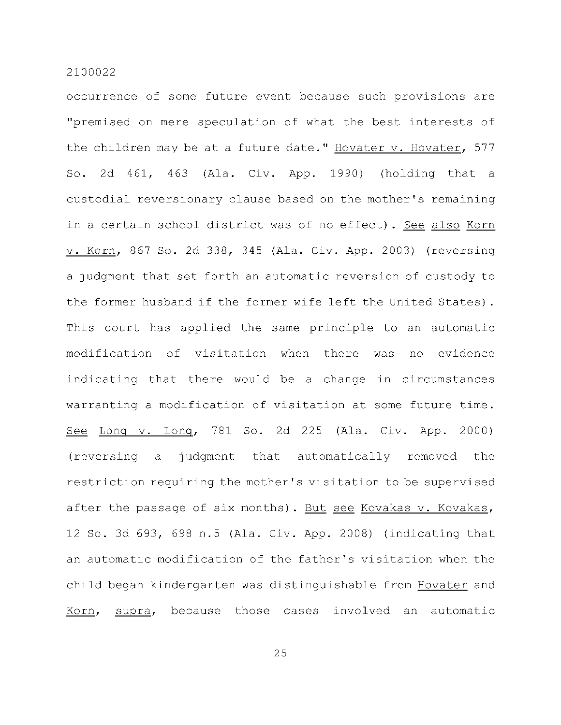occurrence of some future event because such provisions are "premised on mere speculation of what the best interests of the children may be at a future date." Hovater v. Hovater, 577 So. 2d  $461$ ,  $463$  (Ala. Civ. App. 1990) (holding that a custodial reversionary clause based on the mother's remaining in a certain school district was of no effect). See also Korn v. Korn, 867 So. 2d 338, 345 (Ala. Civ. App. 2003) (reversing a judgment that set forth an automatic reversion of custody to the former husband if the former wife left the United States). This court has applied the same principle to an automatic modification of visitation when there was no evidence indicating that there would be a change in circumstances warranting a modification of visitation at some future time. See Long v. Long, 781 So. 2d 225 (Ala. Civ. App. 2000) (reversing a judgment that automatically removed the restriction requiring the mother's visitation to be supervised after the passage of six months). But see Kovakas v. Kovakas, 12 So. 3d 693, 698 n.5 (Ala. Civ. App. 2008) (indicating that an automatic modification of the father's visitation when the child began kindergarten was distinguishable from Hovater and Korn, supra, because those cases involved an automatic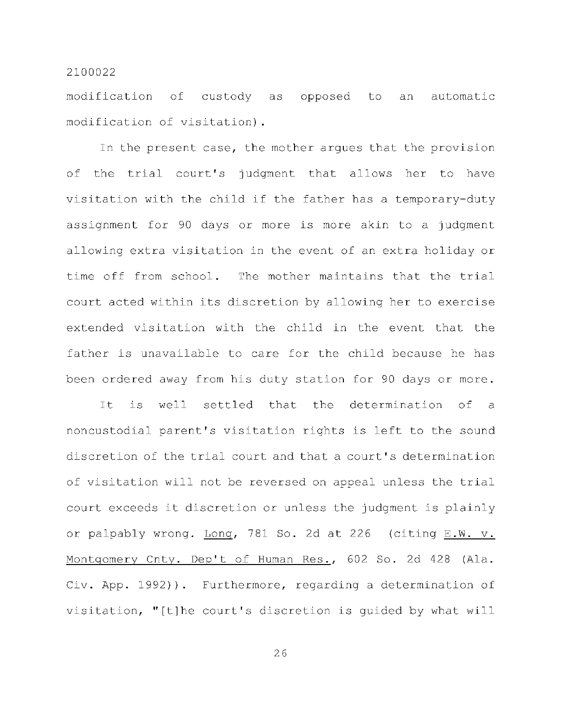modification of custody as opposed to an automatic modification of visitation).

In the present case, the mother argues that the provision of the trial court's judgment that allows her to have visitation with the child if the father has a temporary-duty assignment for 90 days or more is more akin to a judgment allowing extra visitation in the event of an extra holiday or time off from school. The mother maintains that the trial court acted within its discretion by allowing her to exercise extended visitation with the child in the event that the father is unavailable to care for the child because he has been ordered away from his duty station for 90 days or more.

It is well settled that the determination of a noncustodial parent's visitation rights is left to the sound discretion of the trial court and that a court's determination of visitation will not be reversed on appeal unless the trial court exceeds it discretion or unless the judgment is plainly or palpably wrong. Long, 781 So. 2d at 226 (citing E.W. v. Montgomery Cnty. Dep't of Human Res., 602 So. 2d 428 (Ala. Civ. App. 1992)). Furthermore, regarding a determination of visitation, "[t]he court's discretion is quided by what will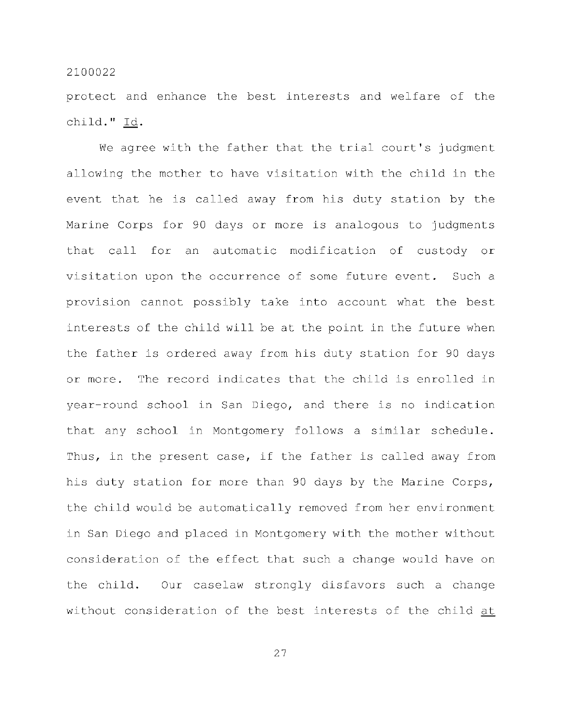protect and enhance the best interests and welfare of the child." Id.

We agree with the father that the trial court's judgment allowing the mother to have visitation with the child in the event that he is called away from his duty station by the Marine Corps for 90 days or more is analogous to judgments that call for an automatic modification of custody or visitation upon the occurrence of some future event. Such a provision cannot possibly take into account what the best interests of the child will be at the point in the future when the father is ordered away from his duty station for 90 days or more. The record indicates that the child is enrolled in year-round school in San Diego, and there is no indication that any school in Montgomery follows a similar schedule. Thus, in the present case, if the father is called away from his duty station for more than 90 days by the Marine Corps, the child would be automatically removed from her environment in San Diego and placed in Montgomery with the mother without consideration of the effect that such a change would have on the child. Our caselaw strongly disfavors such a change without consideration of the best interests of the child at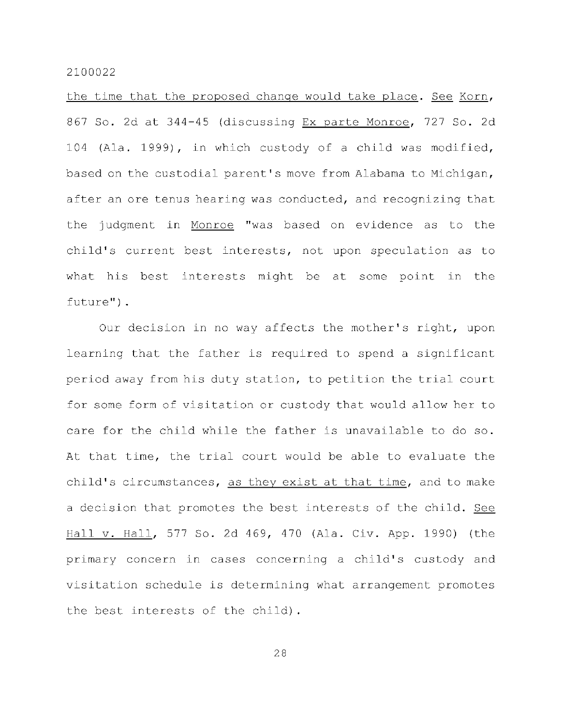the time that the proposed change would take place. See Korn, 867 So. 2d at 344-45 (discussing Ex parte Monroe, 727 So. 2d 104 (Ala. 1999), in which custody of a child was modified, based on the custodial parent's move from Alabama to Michigan, after an ore tenus hearing was conducted, and recognizing that the judgment in Monroe "was based on evidence as to the child's current best interests, not upon speculation as to what his best interests might be at some point in the future") .

Our decision in no way affects the mother's right, upon learning that the father is required to spend a significant period away from his duty station, to petition the trial court for some form of visitation or custody that would allow her to care for the child while the father is unavailable to do so. At that time, the trial court would be able to evaluate the child's circumstances, as they exist at that time, and to make a decision that promotes the best interests of the child. See Hall v. Hall, 577 So. 2d 469, 470 (Ala. Civ. App. 1990) (the primary concern in cases concerning a child's custody and visitation schedule is determining what arrangement promotes the best interests of the child).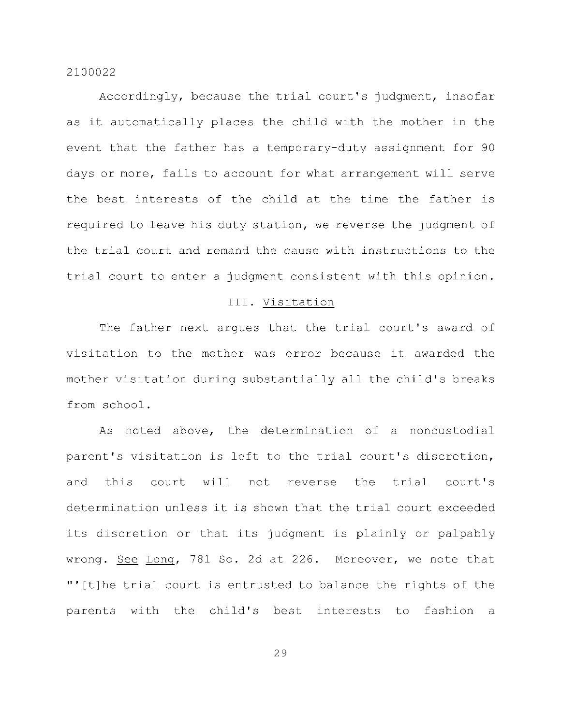Accordingly, because the trial court's judgment, insofar as it automatically places the child with the mother in the event that the father has a temporary-duty assignment for 90 days or more, fails to account for what arrangement will serve the best interests of the child at the time the father is required to leave his duty station, we reverse the judgment of the trial court and remand the cause with instructions to the trial court to enter a judgment consistent with this opinion.

## III. Visitation

The father next argues that the trial court's award of visitation to the mother was error because it awarded the mother visitation during substantially all the child's breaks from school .

As noted above, the determination of a noncustodial parent's visitation is left to the trial court's discretion, and this court will not reverse the trial court's determination unless it is shown that the trial court exceeded its discretion or that its judgment is plainly or palpably wrong. See Long, 781 So. 2d at 226. Moreover, we note that "'[t]he trial court is entrusted to balance the rights of the parents with the child's best interests to fashion a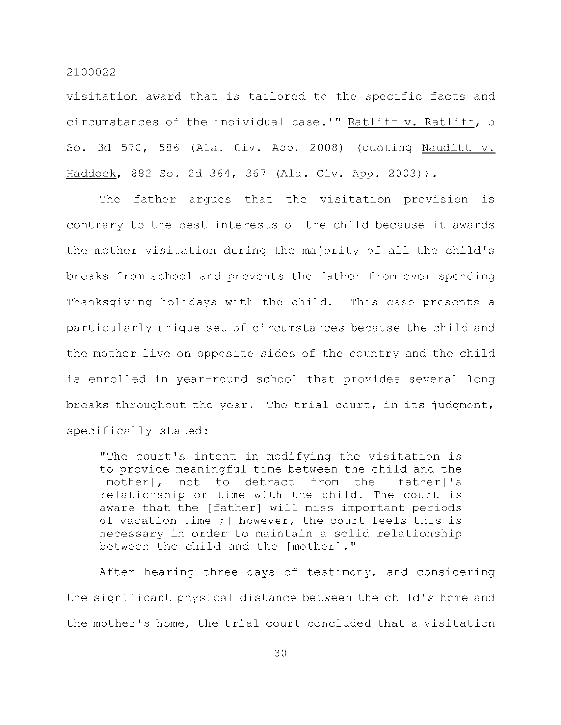visitation award that is tailored to the specific facts and circumstances of the individual case.'" Ratliff v. Ratliff, 5 So. 3d 570, 586 (Ala. Civ. App. 2008) (quoting Nauditt  $v$ . Haddock, 882 So. 2d 364, 367 (Ala. Civ. App. 2003)).

The father arques that the visitation provision is contrary to the best interests of the child because it awards the mother visitation during the majority of all the child's breaks from school and prevents the father from ever spending Thanksgiving holidays with the child. This case presents a particularly unique set of circumstances because the child and the mother live on opposite sides of the country and the child is enrolled in year-round school that provides several long breaks throughout the year. The trial court, in its judgment, specifically stated:

"The court's intent in modifying the visitation is to provide meaningful time between the child and the [mother], not to detract from the [father]'s relationship or time with the child. The court is aware that the [father] will miss important periods of vacation time[;] however, the court feels this is necessary in order to maintain a solid relationship between the child and the [mother]."

After hearing three days of testimony, and considering the significant physical distance between the child's home and the mother's home, the trial court concluded that a visitation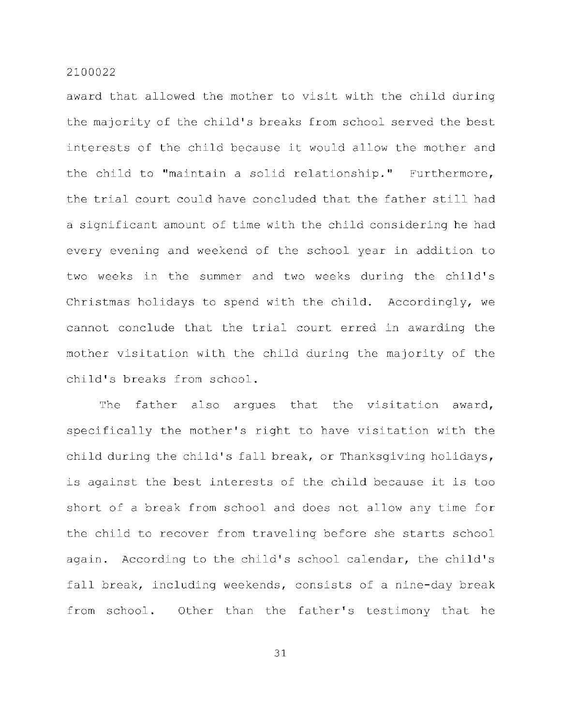award that allowed the mother to visit with the child during the majority of the child's breaks from school served the best interests of the child because it would allow the mother and the child to "maintain a solid relationship." Furthermore, the trial court could have concluded that the father still had a significant amount of time with the child considering he had every evening and weekend of the school year in addition to two weeks in the summer and two weeks during the child's Christmas holidays to spend with the child. Accordingly, we cannot conclude that the trial court erred in awarding the mother visitation with the child during the majority of the child's breaks from school.

The father also argues that the visitation award, specifically the mother's right to have visitation with the child during the child's fall break, or Thanksgiving holidays, is against the best interests of the child because it is too short of a break from school and does not allow any time for the child to recover from traveling before she starts school again. According to the child's school calendar, the child's fall break, including weekends, consists of a nine-day break from school. Other than the father's testimony that he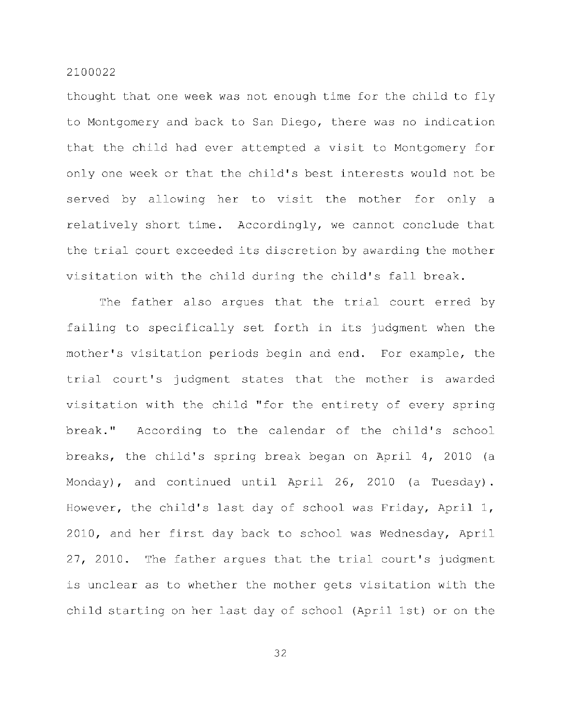thought that one week was not enough time for the child to fly to Montgomery and back to San Diego, there was no indication that the child had ever attempted a visit to Montgomery for only one week or that the child's best interests would not be served by allowing her to visit the mother for only a relatively short time. Accordingly, we cannot conclude that the trial court exceeded its discretion by awarding the mother visitation with the child during the child's fall break.

The father also argues that the trial court erred by failing to specifically set forth in its judgment when the mother's visitation periods begin and end. For example, the trial court's judgment states that the mother is awarded visitation with the child "for the entirety of every spring break." According to the calendar of the child's school breaks, the child's spring break began on April 4, 2010 (a Monday), and continued until April 26, 2010 (a Tuesday). However, the child's last day of school was Friday, April 1, 2010, and her first day back to school was Wednesday, April 27, 2010. The father argues that the trial court's judgment is unclear as to whether the mother gets visitation with the child starting on her last day of school (April 1st) or on the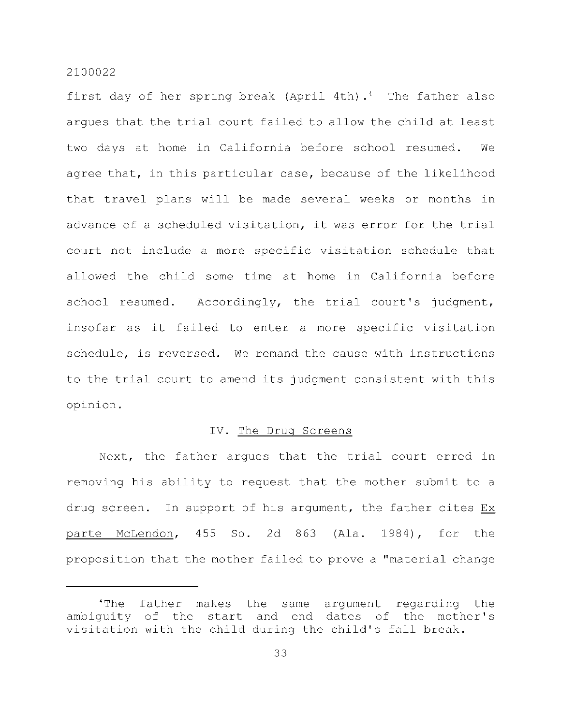first day of her spring break (April 4th).<sup>4</sup> The father also arques that the trial court failed to allow the child at least two days at home in California before school resumed. We agree that, in this particular case, because of the likelihood that travel plans will be made several weeks or months in advance of a scheduled visitation, it was error for the trial court not include a more specific visitation schedule that allowed the child some time at home in California before school resumed. Accordingly, the trial court's judgment, insofar as it failed to enter a more specific visitation schedule, is reversed. We remand the cause with instructions to the trial court to amend its judgment consistent with this opinion .

## IV. The Drug Screens

Next, the father arques that the trial court erred in removing his ability to request that the mother submit to a drug screen. In support of his argument, the father cites Ex parte McLendon,  $455$  So. 2d  $863$  (Ala. 1984), for the proposition that the mother failed to prove a "material change

 $1$ The father makes the same argument regarding the ambiguity of the start and end dates of the mother's visitation with the child during the child's fall break.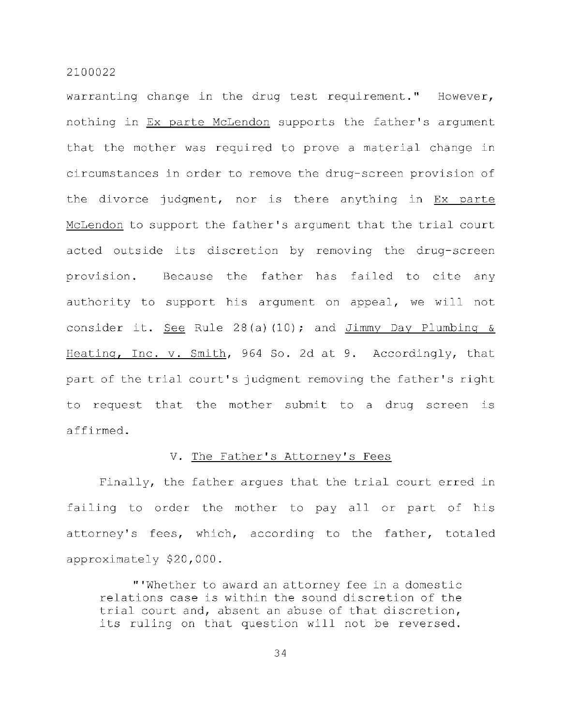warranting change in the drug test requirement." However, nothing in Ex parte McLendon supports the father's argument that the mother was required to prove a material change in circumstances in order to remove the drug-screen provision of the divorce judgment, nor is there anything in Ex parte McLendon to support the father's argument that the trial court acted outside its discretion by removing the drug-screen provision. Because the father has failed to cite any authority to support his argument on appeal, we will not consider it. See Rule 28(a)(10); and Jimmy Day Plumbing  $\delta$ Heating, Inc. v. Smith, 964 So. 2d at 9. Accordingly, that part of the trial court's judgment removing the father's right to request that the mother submit to a drug screen is affirmed .

#### V. The Father's Attorney's Fees

Finally, the father argues that the trial court erred in failing to order the mother to pay all or part of his attorney's fees, which, according to the father, totaled approximately \$20,000.

"'Whether to award an attorney fee in a domestic relations case is within the sound discretion of the trial court and, absent an abuse of that discretion, its ruling on that question will not be reversed.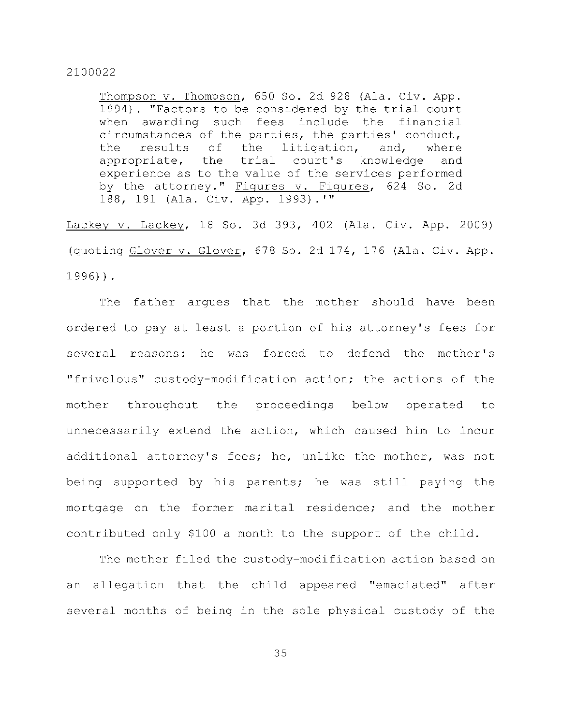Thompson v. Thompson, 650 So. 2d 928 (Ala. Civ. App. 1994). "Factors to be considered by the trial court when awarding such fees include the financial circumstances of the parties, the parties' conduct, the results of the litigation, and, where appropriate, the trial court's knowledge and experience as to the value of the services performed by the attorney." Figures v. Figures, 624 So. 2d 188, 191 (Ala. Civ. App. 1993).'"

 $Lackey v. Lackey, 18$  So. 3d 393, 402 (Ala. Civ. App. 2009) (quoting Glover v. Glover, 678 So. 2d 174, 176 (Ala. Civ. App. 1996)) .

The father argues that the mother should have been ordered to pay at least a portion of his attorney's fees for several reasons: he was forced to defend the mother's "frivolous" custody-modification action; the actions of the mother throughout the proceedings below operated to unnecessarily extend the action, which caused him to incur additional attorney's fees; he, unlike the mother, was not being supported by his parents; he was still paying the mortgage on the former marital residence; and the mother contributed only \$100 a month to the support of the child.

The mother filed the custody-modification action based on an allegation that the child appeared "emaciated" after several months of being in the sole physical custody of the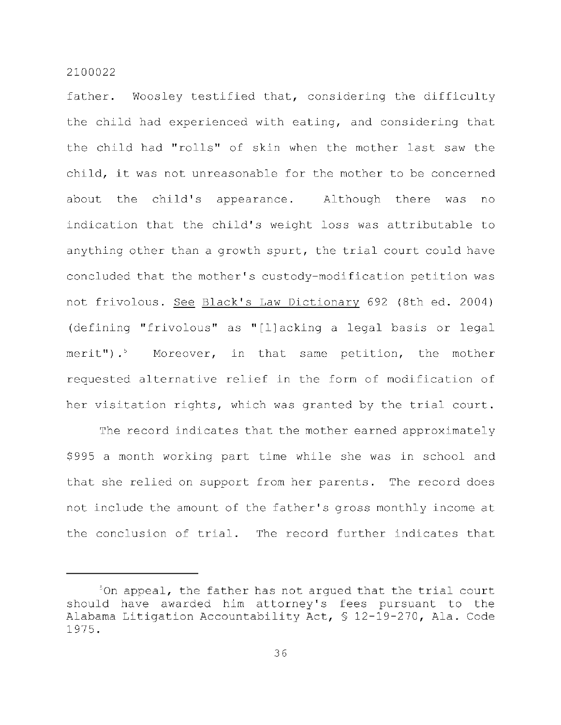father. Woosley testified that, considering the difficulty the child had experienced with eating, and considering that the child had "rolls" of skin when the mother last saw the child, it was not unreasonable for the mother to be concerned about the child's appearance. Although there was no indication that the child's weight loss was attributable to anything other than a growth spurt, the trial court could have concluded that the mother's custody-modification petition was not frivolous. See Black's Law Dictionary 692 (8th ed. 2004) (defining "frivolous" as "[l]acking a legal basis or legal merit").<sup>5</sup> Moreover, in that same petition, the mother requested alternative relief in the form of modification of her visitation rights, which was granted by the trial court.

The record indicates that the mother earned approximately \$995 a month working part time while she was in school and that she relied on support from her parents. The record does not include the amount of the father's gross monthly income at the conclusion of trial. The record further indicates that

 $5$ On appeal, the father has not arqued that the trial court should have awarded him attorney's fees pursuant to the Alabama Litigation Accountability Act,  $$ 12-19-270$ , Ala. Code 1975.